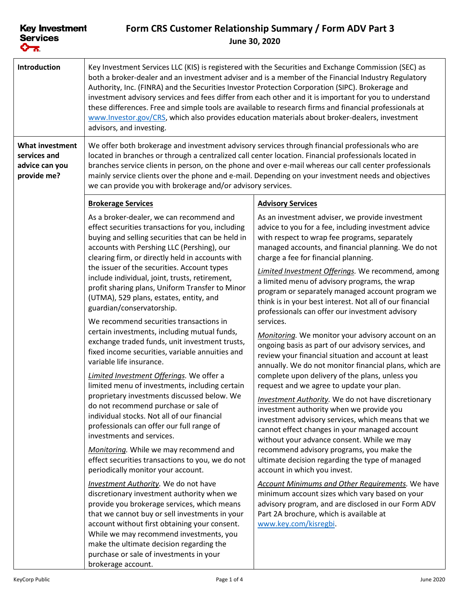## **Form CRS Customer Relationship Summary / Form ADV Part 3 June 30, 2020**

| Introduction                                                            | Key Investment Services LLC (KIS) is registered with the Securities and Exchange Commission (SEC) as<br>both a broker-dealer and an investment adviser and is a member of the Financial Industry Regulatory<br>Authority, Inc. (FINRA) and the Securities Investor Protection Corporation (SIPC). Brokerage and<br>investment advisory services and fees differ from each other and it is important for you to understand<br>these differences. Free and simple tools are available to research firms and financial professionals at<br>www.Investor.gov/CRS, which also provides education materials about broker-dealers, investment<br>advisors, and investing. |                                                                                                                                                                                                                                                                                                                                                            |  |
|-------------------------------------------------------------------------|--------------------------------------------------------------------------------------------------------------------------------------------------------------------------------------------------------------------------------------------------------------------------------------------------------------------------------------------------------------------------------------------------------------------------------------------------------------------------------------------------------------------------------------------------------------------------------------------------------------------------------------------------------------------|------------------------------------------------------------------------------------------------------------------------------------------------------------------------------------------------------------------------------------------------------------------------------------------------------------------------------------------------------------|--|
| <b>What investment</b><br>services and<br>advice can you<br>provide me? | We offer both brokerage and investment advisory services through financial professionals who are<br>located in branches or through a centralized call center location. Financial professionals located in<br>branches service clients in person, on the phone and over e-mail whereas our call center professionals<br>mainly service clients over the phone and e-mail. Depending on your investment needs and objectives<br>we can provide you with brokerage and/or advisory services.                                                                                                                                                                          |                                                                                                                                                                                                                                                                                                                                                            |  |
|                                                                         | <b>Brokerage Services</b>                                                                                                                                                                                                                                                                                                                                                                                                                                                                                                                                                                                                                                          | <b>Advisory Services</b>                                                                                                                                                                                                                                                                                                                                   |  |
|                                                                         | As a broker-dealer, we can recommend and<br>effect securities transactions for you, including<br>buying and selling securities that can be held in<br>accounts with Pershing LLC (Pershing), our<br>clearing firm, or directly held in accounts with                                                                                                                                                                                                                                                                                                                                                                                                               | As an investment adviser, we provide investment<br>advice to you for a fee, including investment advice<br>with respect to wrap fee programs, separately<br>managed accounts, and financial planning. We do not<br>charge a fee for financial planning.                                                                                                    |  |
|                                                                         | the issuer of the securities. Account types<br>include individual, joint, trusts, retirement,<br>profit sharing plans, Uniform Transfer to Minor<br>(UTMA), 529 plans, estates, entity, and<br>guardian/conservatorship.                                                                                                                                                                                                                                                                                                                                                                                                                                           | Limited Investment Offerings. We recommend, among<br>a limited menu of advisory programs, the wrap<br>program or separately managed account program we<br>think is in your best interest. Not all of our financial<br>professionals can offer our investment advisory                                                                                      |  |
|                                                                         | We recommend securities transactions in<br>certain investments, including mutual funds,<br>exchange traded funds, unit investment trusts,<br>fixed income securities, variable annuities and<br>variable life insurance.<br>Limited Investment Offerings. We offer a<br>limited menu of investments, including certain                                                                                                                                                                                                                                                                                                                                             | services.<br>Monitoring. We monitor your advisory account on an<br>ongoing basis as part of our advisory services, and<br>review your financial situation and account at least<br>annually. We do not monitor financial plans, which are<br>complete upon delivery of the plans, unless you<br>request and we agree to update your plan.                   |  |
|                                                                         | proprietary investments discussed below. We<br>do not recommend purchase or sale of<br>individual stocks. Not all of our financial<br>professionals can offer our full range of<br>investments and services.<br>Monitoring. While we may recommend and<br>effect securities transactions to you, we do not                                                                                                                                                                                                                                                                                                                                                         | <b>Investment Authority</b> . We do not have discretionary<br>investment authority when we provide you<br>investment advisory services, which means that we<br>cannot effect changes in your managed account<br>without your advance consent. While we may<br>recommend advisory programs, you make the<br>ultimate decision regarding the type of managed |  |
|                                                                         | periodically monitor your account.<br><b>Investment Authority</b> . We do not have<br>discretionary investment authority when we<br>provide you brokerage services, which means<br>that we cannot buy or sell investments in your<br>account without first obtaining your consent.<br>While we may recommend investments, you<br>make the ultimate decision regarding the<br>purchase or sale of investments in your<br>brokerage account.                                                                                                                                                                                                                         | account in which you invest.<br><b>Account Minimums and Other Requirements.</b> We have<br>minimum account sizes which vary based on your<br>advisory program, and are disclosed in our Form ADV<br>Part 2A brochure, which is available at<br>www.key.com/kisregbi.                                                                                       |  |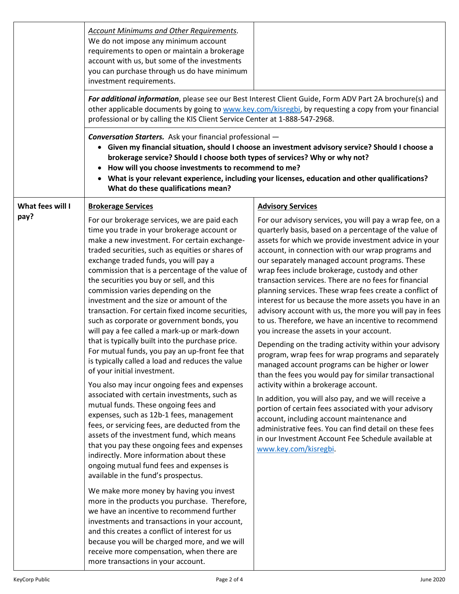|                  | <b>Account Minimums and Other Requirements.</b><br>We do not impose any minimum account<br>requirements to open or maintain a brokerage<br>account with us, but some of the investments<br>you can purchase through us do have minimum<br>investment requirements.<br>professional or by calling the KIS Client Service Center at 1-888-547-2968.                                                                                                                                                                                                                                                                                                                                                                                                                                                                                                                                                                                                                                                                                                                                                                                                                                                                                                                                                                                                                                                                                                                                                                                                                                                                        | For additional information, please see our Best Interest Client Guide, Form ADV Part 2A brochure(s) and<br>other applicable documents by going to www.key.com/kisregbi, by requesting a copy from your financial                                                                                                                                                                                                                                                                                                                                                                                                                                                                                                                                                                                                                                                                                                                                                                                                                                                                                                                                                                                                                                                |  |
|------------------|--------------------------------------------------------------------------------------------------------------------------------------------------------------------------------------------------------------------------------------------------------------------------------------------------------------------------------------------------------------------------------------------------------------------------------------------------------------------------------------------------------------------------------------------------------------------------------------------------------------------------------------------------------------------------------------------------------------------------------------------------------------------------------------------------------------------------------------------------------------------------------------------------------------------------------------------------------------------------------------------------------------------------------------------------------------------------------------------------------------------------------------------------------------------------------------------------------------------------------------------------------------------------------------------------------------------------------------------------------------------------------------------------------------------------------------------------------------------------------------------------------------------------------------------------------------------------------------------------------------------------|-----------------------------------------------------------------------------------------------------------------------------------------------------------------------------------------------------------------------------------------------------------------------------------------------------------------------------------------------------------------------------------------------------------------------------------------------------------------------------------------------------------------------------------------------------------------------------------------------------------------------------------------------------------------------------------------------------------------------------------------------------------------------------------------------------------------------------------------------------------------------------------------------------------------------------------------------------------------------------------------------------------------------------------------------------------------------------------------------------------------------------------------------------------------------------------------------------------------------------------------------------------------|--|
|                  | <b>Conversation Starters.</b> Ask your financial professional -<br>Given my financial situation, should I choose an investment advisory service? Should I choose a<br>brokerage service? Should I choose both types of services? Why or why not?<br>How will you choose investments to recommend to me?<br>What is your relevant experience, including your licenses, education and other qualifications?<br>What do these qualifications mean?                                                                                                                                                                                                                                                                                                                                                                                                                                                                                                                                                                                                                                                                                                                                                                                                                                                                                                                                                                                                                                                                                                                                                                          |                                                                                                                                                                                                                                                                                                                                                                                                                                                                                                                                                                                                                                                                                                                                                                                                                                                                                                                                                                                                                                                                                                                                                                                                                                                                 |  |
| What fees will I | <b>Brokerage Services</b>                                                                                                                                                                                                                                                                                                                                                                                                                                                                                                                                                                                                                                                                                                                                                                                                                                                                                                                                                                                                                                                                                                                                                                                                                                                                                                                                                                                                                                                                                                                                                                                                | <b>Advisory Services</b>                                                                                                                                                                                                                                                                                                                                                                                                                                                                                                                                                                                                                                                                                                                                                                                                                                                                                                                                                                                                                                                                                                                                                                                                                                        |  |
| pay?             | For our brokerage services, we are paid each<br>time you trade in your brokerage account or<br>make a new investment. For certain exchange-<br>traded securities, such as equities or shares of<br>exchange traded funds, you will pay a<br>commission that is a percentage of the value of<br>the securities you buy or sell, and this<br>commission varies depending on the<br>investment and the size or amount of the<br>transaction. For certain fixed income securities,<br>such as corporate or government bonds, you<br>will pay a fee called a mark-up or mark-down<br>that is typically built into the purchase price.<br>For mutual funds, you pay an up-front fee that<br>is typically called a load and reduces the value<br>of your initial investment.<br>You also may incur ongoing fees and expenses<br>associated with certain investments, such as<br>mutual funds. These ongoing fees and<br>expenses, such as 12b-1 fees, management<br>fees, or servicing fees, are deducted from the<br>assets of the investment fund, which means<br>that you pay these ongoing fees and expenses<br>indirectly. More information about these<br>ongoing mutual fund fees and expenses is<br>available in the fund's prospectus.<br>We make more money by having you invest<br>more in the products you purchase. Therefore,<br>we have an incentive to recommend further<br>investments and transactions in your account,<br>and this creates a conflict of interest for us<br>because you will be charged more, and we will<br>receive more compensation, when there are<br>more transactions in your account. | For our advisory services, you will pay a wrap fee, on a<br>quarterly basis, based on a percentage of the value of<br>assets for which we provide investment advice in your<br>account, in connection with our wrap programs and<br>our separately managed account programs. These<br>wrap fees include brokerage, custody and other<br>transaction services. There are no fees for financial<br>planning services. These wrap fees create a conflict of<br>interest for us because the more assets you have in an<br>advisory account with us, the more you will pay in fees<br>to us. Therefore, we have an incentive to recommend<br>you increase the assets in your account.<br>Depending on the trading activity within your advisory<br>program, wrap fees for wrap programs and separately<br>managed account programs can be higher or lower<br>than the fees you would pay for similar transactional<br>activity within a brokerage account.<br>In addition, you will also pay, and we will receive a<br>portion of certain fees associated with your advisory<br>account, including account maintenance and<br>administrative fees. You can find detail on these fees<br>in our Investment Account Fee Schedule available at<br>www.key.com/kisregbi. |  |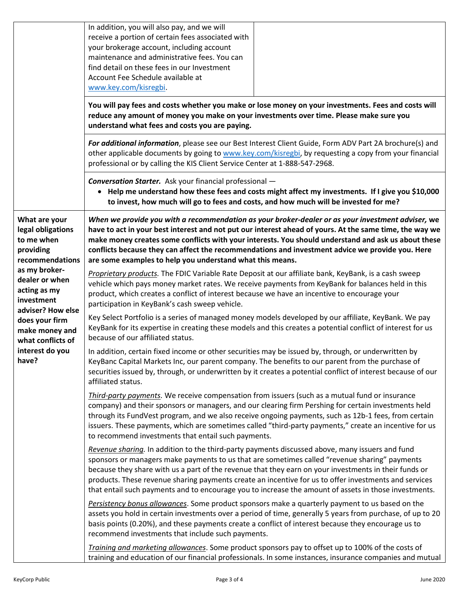|                                                                                                                                                                         | In addition, you will also pay, and we will<br>receive a portion of certain fees associated with<br>your brokerage account, including account<br>maintenance and administrative fees. You can<br>find detail on these fees in our Investment<br>Account Fee Schedule available at<br>www.key.com/kisregbi.                                                                                                                                                                                                                  |                                                                                                                                                                                                               |  |
|-------------------------------------------------------------------------------------------------------------------------------------------------------------------------|-----------------------------------------------------------------------------------------------------------------------------------------------------------------------------------------------------------------------------------------------------------------------------------------------------------------------------------------------------------------------------------------------------------------------------------------------------------------------------------------------------------------------------|---------------------------------------------------------------------------------------------------------------------------------------------------------------------------------------------------------------|--|
|                                                                                                                                                                         | You will pay fees and costs whether you make or lose money on your investments. Fees and costs will<br>reduce any amount of money you make on your investments over time. Please make sure you<br>understand what fees and costs you are paying.                                                                                                                                                                                                                                                                            |                                                                                                                                                                                                               |  |
|                                                                                                                                                                         | For additional information, please see our Best Interest Client Guide, Form ADV Part 2A brochure(s) and<br>other applicable documents by going to www.key.com/kisregbi, by requesting a copy from your financial<br>professional or by calling the KIS Client Service Center at 1-888-547-2968.                                                                                                                                                                                                                             |                                                                                                                                                                                                               |  |
|                                                                                                                                                                         | <b>Conversation Starter.</b> Ask your financial professional -<br>• Help me understand how these fees and costs might affect my investments. If I give you \$10,000<br>to invest, how much will go to fees and costs, and how much will be invested for me?                                                                                                                                                                                                                                                                 |                                                                                                                                                                                                               |  |
| What are your<br>legal obligations<br>to me when<br>providing<br>recommendations                                                                                        | When we provide you with a recommendation as your broker-dealer or as your investment adviser, we<br>have to act in your best interest and not put our interest ahead of yours. At the same time, the way we<br>make money creates some conflicts with your interests. You should understand and ask us about these<br>conflicts because they can affect the recommendations and investment advice we provide you. Here<br>are some examples to help you understand what this means.                                        |                                                                                                                                                                                                               |  |
| as my broker-<br>dealer or when<br>acting as my<br>investment<br>adviser? How else<br>does your firm<br>make money and<br>what conflicts of<br>interest do you<br>have? | Proprietary products. The FDIC Variable Rate Deposit at our affiliate bank, KeyBank, is a cash sweep<br>vehicle which pays money market rates. We receive payments from KeyBank for balances held in this<br>product, which creates a conflict of interest because we have an incentive to encourage your<br>participation in KeyBank's cash sweep vehicle.                                                                                                                                                                 |                                                                                                                                                                                                               |  |
|                                                                                                                                                                         | Key Select Portfolio is a series of managed money models developed by our affiliate, KeyBank. We pay<br>KeyBank for its expertise in creating these models and this creates a potential conflict of interest for us<br>because of our affiliated status.                                                                                                                                                                                                                                                                    |                                                                                                                                                                                                               |  |
|                                                                                                                                                                         | In addition, certain fixed income or other securities may be issued by, through, or underwritten by<br>KeyBanc Capital Markets Inc, our parent company. The benefits to our parent from the purchase of<br>securities issued by, through, or underwritten by it creates a potential conflict of interest because of our<br>affiliated status.                                                                                                                                                                               |                                                                                                                                                                                                               |  |
|                                                                                                                                                                         | Third-party payments. We receive compensation from issuers (such as a mutual fund or insurance<br>company) and their sponsors or managers, and our clearing firm Pershing for certain investments held<br>through its FundVest program, and we also receive ongoing payments, such as 12b-1 fees, from certain<br>issuers. These payments, which are sometimes called "third-party payments," create an incentive for us<br>to recommend investments that entail such payments.                                             |                                                                                                                                                                                                               |  |
|                                                                                                                                                                         | Revenue sharing. In addition to the third-party payments discussed above, many issuers and fund<br>sponsors or managers make payments to us that are sometimes called "revenue sharing" payments<br>because they share with us a part of the revenue that they earn on your investments in their funds or<br>products. These revenue sharing payments create an incentive for us to offer investments and services<br>that entail such payments and to encourage you to increase the amount of assets in those investments. |                                                                                                                                                                                                               |  |
|                                                                                                                                                                         | Persistency bonus allowances. Some product sponsors make a quarterly payment to us based on the<br>assets you hold in certain investments over a period of time, generally 5 years from purchase, of up to 20<br>basis points (0.20%), and these payments create a conflict of interest because they encourage us to<br>recommend investments that include such payments.                                                                                                                                                   |                                                                                                                                                                                                               |  |
|                                                                                                                                                                         |                                                                                                                                                                                                                                                                                                                                                                                                                                                                                                                             | Training and marketing allowances. Some product sponsors pay to offset up to 100% of the costs of<br>training and education of our financial professionals. In some instances, insurance companies and mutual |  |